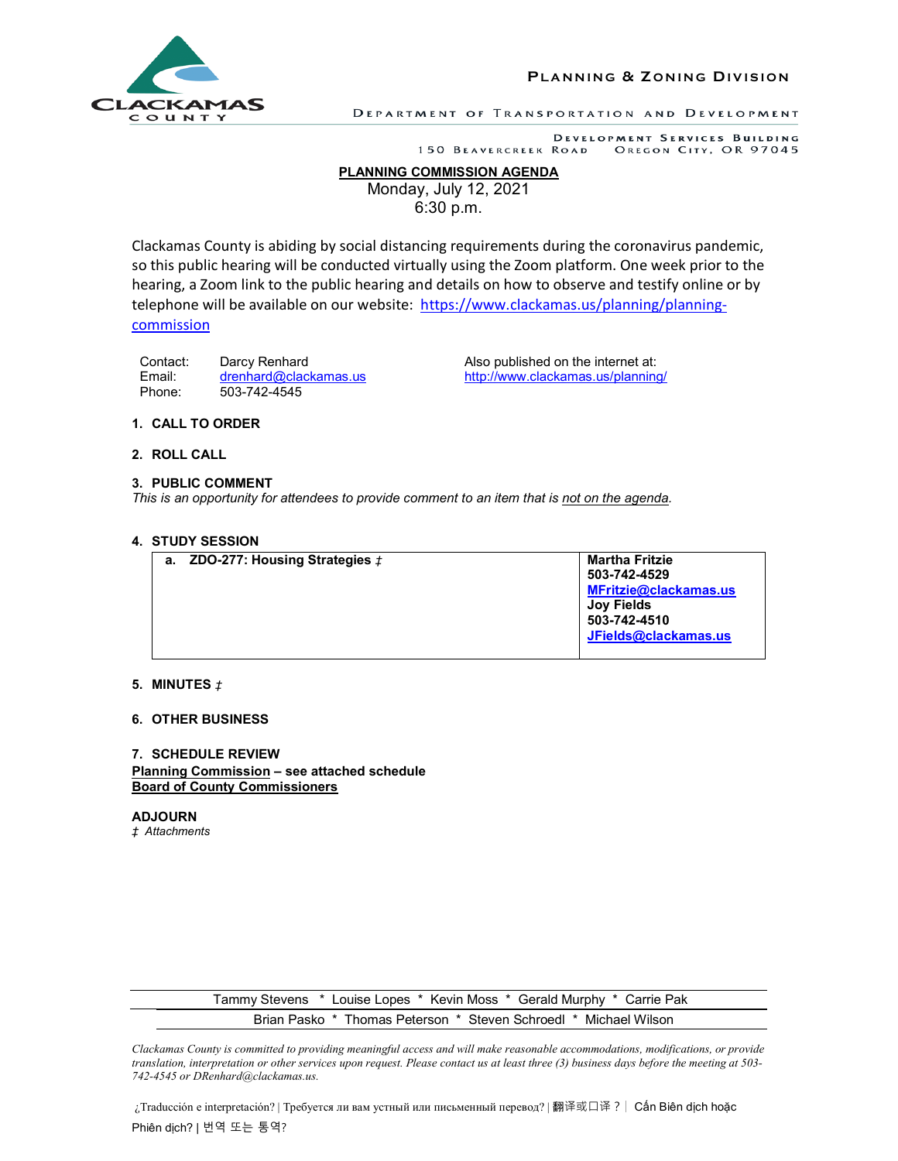

**PLANNING & Z ONING D IVISION**

DEPARTMENT OF TRANSPORTATION AND DEVELOPMENT

DEVELOPMENT SERVICES BUILDING 150 BEAVERCREEK ROAD OREGON CITY, OR 97045

# **PLANNING COMMISSION AGENDA**

Monday, July 12, 2021 6:30 p.m.

Clackamas County is abiding by social distancing requirements during the coronavirus pandemic, so this public hearing will be conducted virtually using the Zoom platform. One week prior to the hearing, a Zoom link to the public hearing and details on how to observe and testify online or by telephone will be available on our website: [https://www.clackamas.us/planning/planning](https://www.clackamas.us/planning/planning-commission)[commission](https://www.clackamas.us/planning/planning-commission)

Contact: Darcy Renhard Contact: Darcy Renhard Also published on the internet at: Email: [drenhard@clackamas.us](mailto:drenhard@clackamas.us) <http://www.clackamas.us/planning/> Phone: 503-742-4545

# **1. CALL TO ORDER**

## **2. ROLL CALL**

### **3. PUBLIC COMMENT**

*This is an opportunity for attendees to provide comment to an item that is not on the agenda.*

#### **4. STUDY SESSION**

| а. | ZDO-277: Housing Strategies $t$ | <b>Martha Fritzie</b><br>503-742-4529<br>MFritzie@clackamas.us<br><b>Joy Fields</b><br>503-742-4510<br>JFields@clackamas.us |
|----|---------------------------------|-----------------------------------------------------------------------------------------------------------------------------|
|    |                                 |                                                                                                                             |

## **5. MINUTES** *‡*

### **6. OTHER BUSINESS**

## **7. SCHEDULE REVIEW Planning Commission – see attached schedule Board of County Commissioners**

**ADJOURN** *‡ Attachments*

> Tammy Stevens \* Louise Lopes \* Kevin Moss \* Gerald Murphy \* Carrie Pak Brian Pasko \* Thomas Peterson \* Steven Schroedl \* Michael Wilson

*Clackamas County is committed to providing meaningful access and will make reasonable accommodations, modifications, or provide translation, interpretation or other services upon request. Please contact us at least three (3) business days before the meeting at 503- 742-4545 or DRenhard@clackamas.us.*

¿Traducción e interpretación? | Требуется ли вам устный или письменный перевод? | 翻译或口译?| Cấn Biên dịch hoặc Phiên dịch? | 번역 또는 통역?